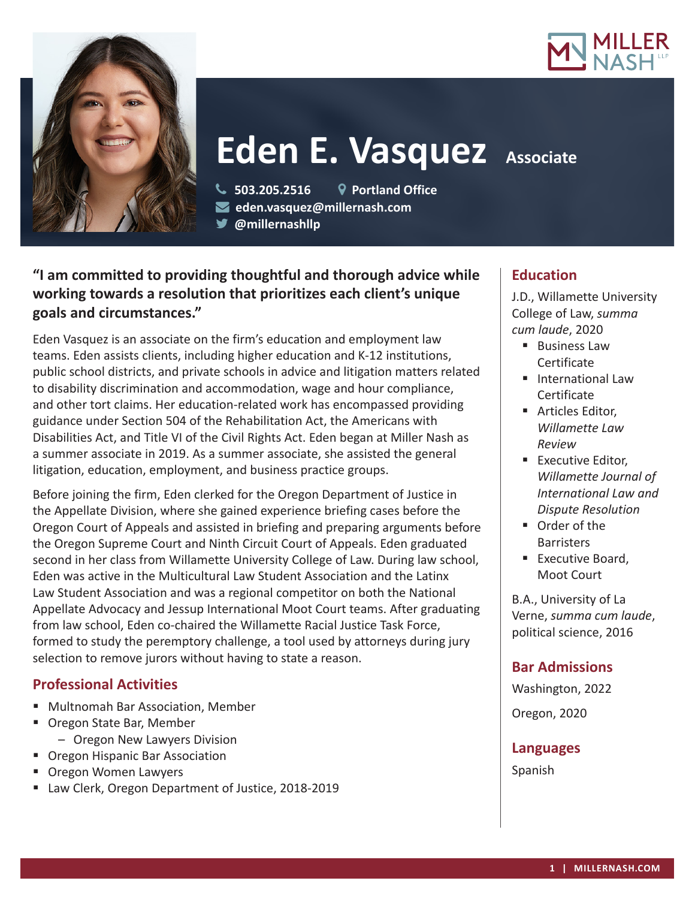



# **Eden E. Vasquez Associate**

 **503.205.2516 Portland Office eden.vasquez@millernash.com** 

**@millernashllp**

# **"I am committed to providing thoughtful and thorough advice while working towards a resolution that prioritizes each client's unique goals and circumstances."**

Eden Vasquez is an associate on the firm's education and employment law teams. Eden assists clients, including higher education and K-12 institutions, public school districts, and private schools in advice and litigation matters related to disability discrimination and accommodation, wage and hour compliance, and other tort claims. Her education-related work has encompassed providing guidance under Section 504 of the Rehabilitation Act, the Americans with Disabilities Act, and Title VI of the Civil Rights Act. Eden began at Miller Nash as a summer associate in 2019. As a summer associate, she assisted the general litigation, education, employment, and business practice groups.

Before joining the firm, Eden clerked for the Oregon Department of Justice in the Appellate Division, where she gained experience briefing cases before the Oregon Court of Appeals and assisted in briefing and preparing arguments before the Oregon Supreme Court and Ninth Circuit Court of Appeals. Eden graduated second in her class from Willamette University College of Law. During law school, Eden was active in the Multicultural Law Student Association and the Latinx Law Student Association and was a regional competitor on both the National Appellate Advocacy and Jessup International Moot Court teams. After graduating from law school, Eden co-chaired the Willamette Racial Justice Task Force, formed to study the peremptory challenge, a tool used by attorneys during jury selection to remove jurors without having to state a reason.

## **Professional Activities**

- Multnomah Bar Association, Member
- Oregon State Bar, Member
	- Oregon New Lawyers Division
- Oregon Hispanic Bar Association
- **Dregon Women Lawyers**
- Law Clerk, Oregon Department of Justice, 2018-2019

## **Education**

J.D., Willamette University College of Law, *summa cum laude*, 2020

- Business Law Certificate
- **International Law Certificate**
- **Articles Editor,** *Willamette Law Review*
- **Executive Editor,** *Willamette Journal of International Law and Dispute Resolution*
- Order of the **Barristers**
- **Executive Board.** Moot Court

B.A., University of La Verne, *summa cum laude*, political science, 2016

# **Bar Admissions**

Washington, 2022

Oregon, 2020

#### **Languages**

Spanish